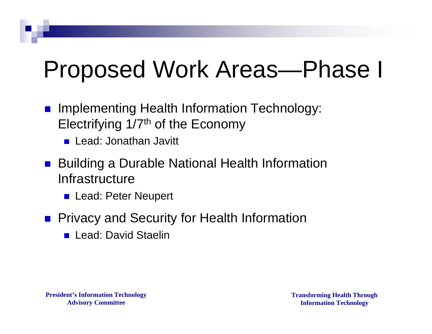## Proposed Work Areas—Phase I

- Implementing Health Information Technology: Electrifying 1/7th of the Economy
	- Lead: Jonathan Javitt
- Building a Durable National Health Information Infrastructure
	- Lead: Peter Neupert
- **Privacy and Security for Health Information** 
	- **Lead: David Staelin**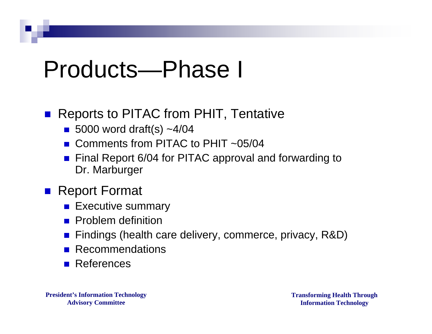# Products—Phase I

#### Reports to PITAC from PHIT, Tentative

- 5000 word draft(s)  $~1/04$
- Comments from PITAC to PHIT  $\sim 0.5/04$
- Final Report 6/04 for PITAC approval and forwarding to Dr. Marburger

### ■ Report Format

- **Executive summary**
- **Problem definition**
- Findings (health care delivery, commerce, privacy, R&D)
- **Recommendations**
- **References**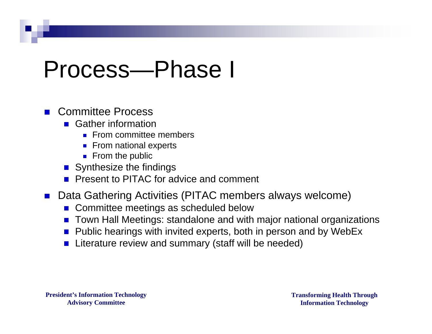### Process—Phase I

#### ■ Committee Process

- Gather information
	- **From committee members**
	- From national experts
	- $\blacksquare$  From the public
- Synthesize the findings
- **Present to PITAC for advice and comment**
- Data Gathering Activities (PITAC members always welcome)
	- Committee meetings as scheduled below
	- Town Hall Meetings: standalone and with major national organizations
	- Public hearings with invited experts, both in person and by WebEx
	- Literature review and summary (staff will be needed) $\mathcal{L}_{\mathcal{A}}$